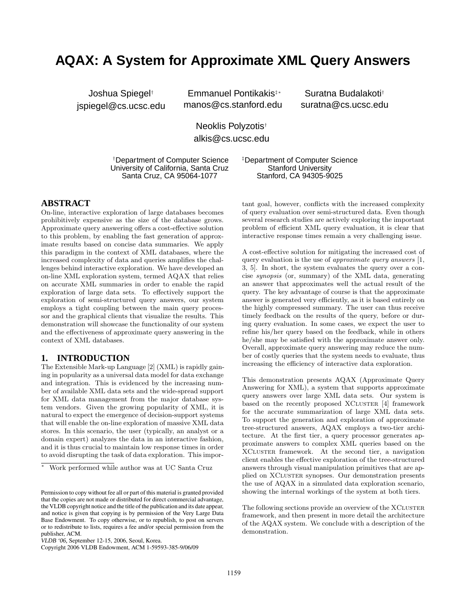# **AQAX: A System for Approximate XML Query Answers**

Joshua Spiegel† jspiegel@cs.ucsc.edu

Emmanuel Pontikakis‡∗ manos@cs.stanford.edu

Suratna Budalakoti† suratna@cs.ucsc.edu

Neoklis Polyzotis† alkis@cs.ucsc.edu

†Department of Computer Science University of California, Santa Cruz Santa Cruz, CA 95064-1077

‡Department of Computer Science Stanford University Stanford, CA 94305-9025

## **ABSTRACT**

On-line, interactive exploration of large databases becomes prohibitively expensive as the size of the database grows. Approximate query answering offers a cost-effective solution to this problem, by enabling the fast generation of approximate results based on concise data summaries. We apply this paradigm in the context of XML databases, where the increased complexity of data and queries amplifies the challenges behind interactive exploration. We have developed an on-line XML exploration system, termed AQAX that relies on accurate XML summaries in order to enable the rapid exploration of large data sets. To effectively support the exploration of semi-structured query answers, our system employs a tight coupling between the main query processor and the graphical clients that visualize the results. This demonstration will showcase the functionality of our system and the effectiveness of approximate query answering in the context of XML databases.

## **1. INTRODUCTION**

The Extensible Mark-up Language [2] (XML) is rapidly gaining in popularity as a universal data model for data exchange and integration. This is evidenced by the increasing number of available XML data sets and the wide-spread support for XML data management from the major database system vendors. Given the growing popularity of XML, it is natural to expect the emergence of decision-support systems that will enable the on-line exploration of massive XML data stores. In this scenario, the user (typically, an analyst or a domain expert) analyzes the data in an interactive fashion, and it is thus crucial to maintain low response times in order to avoid disrupting the task of data exploration. This important goal, however, conflicts with the increased complexity of query evaluation over semi-structured data. Even though several research studies are actively exploring the important problem of efficient XML query evaluation, it is clear that interactive response times remain a very challenging issue.

A cost-effective solution for mitigating the increased cost of query evaluation is the use of approximate query answers [1, 3, 5]. In short, the system evaluates the query over a concise synopsis (or, summary) of the XML data, generating an answer that approximates well the actual result of the query. The key advantage of course is that the approximate answer is generated very efficiently, as it is based entirely on the highly compressed summary. The user can thus receive timely feedback on the results of the query, before or during query evaluation. In some cases, we expect the user to refine his/her query based on the feedback, while in others he/she may be satisfied with the approximate answer only. Overall, approximate query answering may reduce the number of costly queries that the system needs to evaluate, thus increasing the efficiency of interactive data exploration.

This demonstration presents AQAX (Approximate Query Answering for XML), a system that supports approximate query answers over large XML data sets. Our system is based on the recently proposed XCLUSTER [4] framework for the accurate summarization of large XML data sets. To support the generation and exploration of approximate tree-structured answers, AQAX employs a two-tier architecture. At the first tier, a query processor generates approximate answers to complex XML queries based on the XCluster framework. At the second tier, a navigation client enables the effective exploration of the tree-structured answers through visual manipulation primitives that are applied on XCLUSTER synopses. Our demonstration presents the use of AQAX in a simulated data exploration scenario, showing the internal workings of the system at both tiers.

The following sections provide an overview of the XCLUSTER framework, and then present in more detail the architecture of the AQAX system. We conclude with a description of the demonstration.

<sup>∗</sup> Work performed while author was at UC Santa Cruz

Permission to copy without fee all or part of this material is granted provided that the copies are not made or distributed for direct commercial advantage, the VLDB copyright notice and the title of the publication and its date appear, and notice is given that copying is by permission of the Very Large Data Base Endowment. To copy otherwise, or to republish, to post on servers or to redistribute to lists, requires a fee and/or special permission from the publisher, ACM.

*VLDB '06,* September 12-15, 2006, Seoul, Korea.

Copyright 2006 VLDB Endowment, ACM 1-59593-385-9/06/09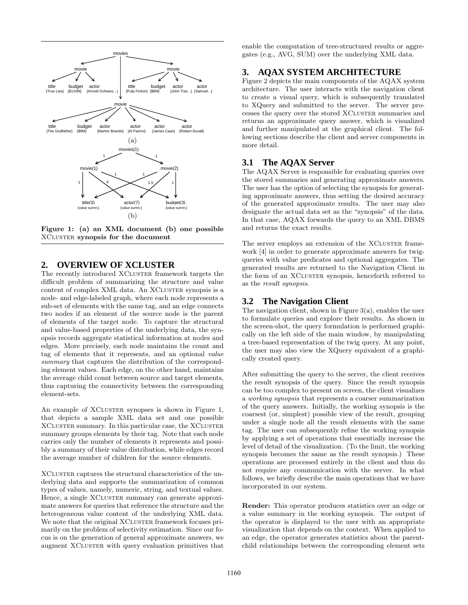

Figure 1: (a) an XML document (b) one possible XCluster synopsis for the document

# **2. OVERVIEW OF XCLUSTER**

The recently introduced XCLUSTER framework targets the difficult problem of summarizing the structure and value content of complex XML data. An XCLUSTER synopsis is a node- and edge-labeled graph, where each node represents a sub-set of elements with the same tag, and an edge connects two nodes if an element of the source node is the parent of elements of the target node. To capture the structural and value-based properties of the underlying data, the synopsis records aggregate statistical information at nodes and edges. More precisely, each node maintains the count and tag of elements that it represents, and an optional value summary that captures the distribution of the corresponding element values. Each edge, on the other hand, maintains the average child count between source and target elements, thus capturing the connectivity between the corresponding element-sets.

An example of XCLUSTER synopses is shown in Figure 1, that depicts a sample XML data set and one possible XCLUSTER summary. In this particular case, the XCLUSTER summary groups elements by their tag. Note that each node carries only the number of elements it represents and possibly a summary of their value distribution, while edges record the average number of children for the source elements.

XCluster captures the structural characteristics of the underlying data and supports the summarization of common types of values, namely, numeric, string, and textual values. Hence, a single XCLUSTER summary can generate approximate answers for queries that reference the structure and the heterogeneous value content of the underlying XML data. We note that the original XCLUSTER framework focuses primarily on the problem of selectivity estimation. Since our focus is on the generation of general approximate answers, we augment XCLUSTER with query evaluation primitives that

enable the computation of tree-structured results or aggregates (e.g., AVG, SUM) over the underlying XML data.

# **3. AQAX SYSTEM ARCHITECTURE**

Figure 2 depicts the main components of the AQAX system architecture. The user interacts with the navigation client to create a visual query, which is subsequently translated to XQuery and submitted to the server. The server processes the query over the stored XCLUSTER summaries and returns an approximate query answer, which is visualized and further manipulated at the graphical client. The following sections describe the client and server components in more detail.

### **3.1 The AQAX Server**

The AQAX Server is responsible for evaluating queries over the stored summaries and generating approximate answers. The user has the option of selecting the synopsis for generating approximate answers, thus setting the desired accuracy of the generated approximate results. The user may also designate the actual data set as the "synopsis" of the data. In that case, AQAX forwards the query to an XML DBMS and returns the exact results.

The server employs an extension of the XCLUSTER framework [4] in order to generate approximate answers for twigqueries with value predicates and optional aggregates. The generated results are returned to the Navigation Client in the form of an XCLUSTER synopsis, henceforth referred to as the result synopsis.

#### **3.2 The Navigation Client**

The navigation client, shown in Figure 3(a), enables the user to formulate queries and explore their results. As shown in the screen-shot, the query formulation is performed graphically on the left side of the main window, by manipulating a tree-based representation of the twig query. At any point, the user may also view the XQuery equivalent of a graphically created query.

After submitting the query to the server, the client receives the result synopsis of the query. Since the result synopsis can be too complex to present on screen, the client visualizes a working synopsis that represents a coarser summarization of the query answers. Initially, the working synopsis is the coarsest (or, simplest) possible view of the result, grouping under a single node all the result elements with the same tag. The user can subsequently refine the working synopsis by applying a set of operations that essentially increase the level of detail of the visualization. (To the limit, the working synopsis becomes the same as the result synopsis.) These operations are processed entirely in the client and thus do not require any communication with the server. In what follows, we briefly describe the main operations that we have incorporated in our system.

Render: This operator produces statistics over an edge or a value summary in the working synopsis. The output of the operator is displayed to the user with an appropriate visualization that depends on the context. When applied to an edge, the operator generates statistics about the parentchild relationships between the corresponding element sets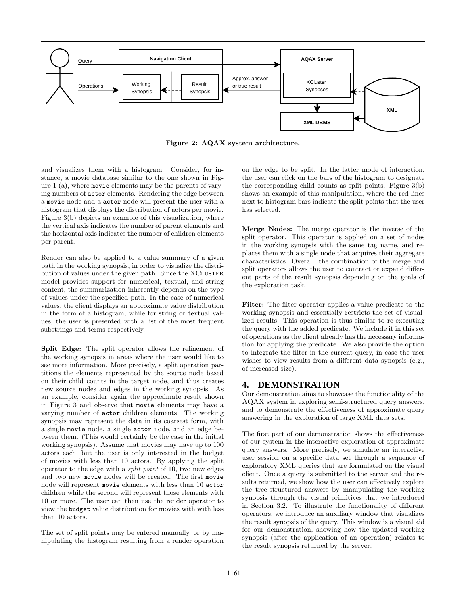

and visualizes them with a histogram. Consider, for instance, a movie database similar to the one shown in Figure 1 (a), where movie elements may be the parents of varying numbers of actor elements. Rendering the edge between a movie node and a actor node will present the user with a histogram that displays the distribution of actors per movie. Figure 3(b) depicts an example of this visualization, where the vertical axis indicates the number of parent elements and the horizontal axis indicates the number of children elements per parent.

Render can also be applied to a value summary of a given path in the working synopsis, in order to visualize the distribution of values under the given path. Since the XCLUSTER model provides support for numerical, textual, and string content, the summarization inherently depends on the type of values under the specified path. In the case of numerical values, the client displays an approximate value distribution in the form of a histogram, while for string or textual values, the user is presented with a list of the most frequent substrings and terms respectively.

Split Edge: The split operator allows the refinement of the working synopsis in areas where the user would like to see more information. More precisely, a split operation partitions the elements represented by the source node based on their child counts in the target node, and thus creates new source nodes and edges in the working synopsis. As an example, consider again the approximate result shown in Figure 3 and observe that movie elements may have a varying number of actor children elements. The working synopsis may represent the data in its coarsest form, with a single movie node, a single actor node, and an edge between them. (This would certainly be the case in the initial working synopsis). Assume that movies may have up to 100 actors each, but the user is only interested in the budget of movies with less than 10 actors. By applying the split operator to the edge with a split point of 10, two new edges and two new movie nodes will be created. The first movie node will represent movie elements with less than 10 actor children while the second will represent those elements with 10 or more. The user can then use the render operator to view the budget value distribution for movies with with less than 10 actors.

The set of split points may be entered manually, or by manipulating the histogram resulting from a render operation on the edge to be split. In the latter mode of interaction, the user can click on the bars of the histogram to designate the corresponding child counts as split points. Figure 3(b) shows an example of this manipulation, where the red lines next to histogram bars indicate the split points that the user has selected.

Merge Nodes: The merge operator is the inverse of the split operator. This operator is applied on a set of nodes in the working synopsis with the same tag name, and replaces them with a single node that acquires their aggregate characteristics. Overall, the combination of the merge and split operators allows the user to contract or expand different parts of the result synopsis depending on the goals of the exploration task.

Filter: The filter operator applies a value predicate to the working synopsis and essentially restricts the set of visualized results. This operation is thus similar to re-executing the query with the added predicate. We include it in this set of operations as the client already has the necessary information for applying the predicate. We also provide the option to integrate the filter in the current query, in case the user wishes to view results from a different data synopsis (e.g., of increased size).

## **4. DEMONSTRATION**

Our demonstration aims to showcase the functionality of the AQAX system in exploring semi-structured query answers, and to demonstrate the effectiveness of approximate query answering in the exploration of large XML data sets.

The first part of our demonstration shows the effectiveness of our system in the interactive exploration of approximate query answers. More precisely, we simulate an interactive user session on a specific data set through a sequence of exploratory XML queries that are formulated on the visual client. Once a query is submitted to the server and the results returned, we show how the user can effectively explore the tree-structured answers by manipulating the working synopsis through the visual primitives that we introduced in Section 3.2. To illustrate the functionality of different operators, we introduce an auxiliary window that visualizes the result synopsis of the query. This window is a visual aid for our demonstration, showing how the updated working synopsis (after the application of an operation) relates to the result synopsis returned by the server.